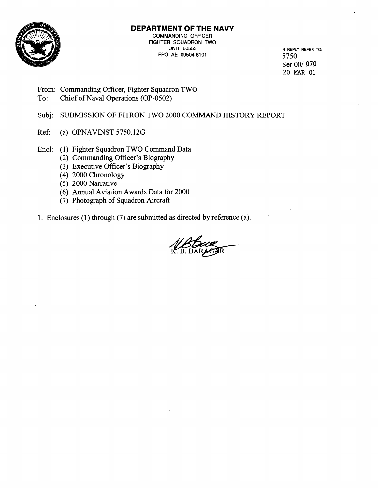

# **DEPARTMENT OF THE NAVY**

COMMANDING OFFICER FIGHTER SQUADRON TWO UNIT 60553 IN REPLY REFER TO: FPO AE 09504-6101 5750

Ser 00/070 20 **MAR** 01

From: Commanding Officer, Fighter Squadron TWO

To: Chief of Naval Operations (OP-0502)

Subj: SUBMISSION OF FITRON TWO 2000 COMMAND HISTORY REPORT

Ref: (a) OPNAVINST 5750.126

Encl: (1) Fighter Squadron TWO Command Data

- (2) Commanding Officer's Biography
- (3) Executive Officer's Biography
- (4) 2000 Chronology
- (5) 2000 Narrative
- (6) Annual Aviation Awards Data for 2000
- (7) Photograph of Squadron Aircraft

1. Enclosures (1) through (7) are submitted as directed by reference (a).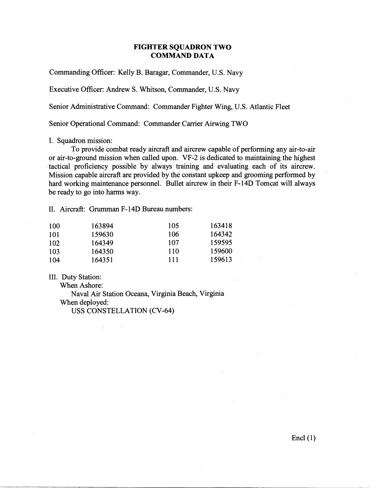#### **FIGHTER SQUADRON TWO COMMAND DATA**

Commanding Officer: Kelly B. Baragar, Commander, U.S. Navy

Executive Officer: Andrew S. Whitson, Commander, U.S. Navy

Senior Administrative Command: Commander Fighter Wing, U.S. Atlantic Fleet

Senior Operational Command: Commander Carrier Airwing TWO

I. Squadron mission:

To provide combat ready aircraft and aircrew capable of performing any air-to-air or air-to-ground mission when called upon. VF-2 is dedicated to maintaining the highest tactical proficiency possible by always training and evaluating each of its aircrew. Mission capable aircraft are provided by the constant upkeep and grooming performed by hard working maintenance personnel. Bullet aircrew in their F-14D Tomcat will always be ready to go into harms way.

11. Aircraft: Grumman F- 1 4D Bureau numbers:

| 100 | 163894 | 105 | 163418 |
|-----|--------|-----|--------|
| 101 | 159630 | 106 | 164342 |
| 102 | 164349 | 107 | 159595 |
| 103 | 164350 | 110 | 159600 |
| 104 | 164351 | 111 | 159613 |

111. Duty Station:

When Ashore:

Naval Air Station Oceana, Virginia Beach, Virginia When deployed:

USS CONSTELLATION (CV-64)

 $\text{End}(\mathbf{1})$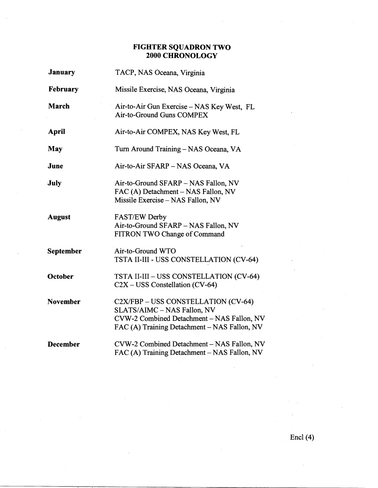## **FIGHTER SQUADRON TWO 2000 CHRONOLOGY**

| January          | TACP, NAS Oceana, Virginia                                                                                                                                       |  |
|------------------|------------------------------------------------------------------------------------------------------------------------------------------------------------------|--|
| <b>February</b>  | Missile Exercise, NAS Oceana, Virginia                                                                                                                           |  |
| <b>March</b>     | Air-to-Air Gun Exercise – NAS Key West, FL<br>Air-to-Ground Guns COMPEX                                                                                          |  |
| <b>April</b>     | Air-to-Air COMPEX, NAS Key West, FL                                                                                                                              |  |
| May              | Turn Around Training - NAS Oceana, VA                                                                                                                            |  |
| June             | Air-to-Air SFARP - NAS Oceana, VA                                                                                                                                |  |
| <b>July</b>      | Air-to-Ground SFARP - NAS Fallon, NV<br>FAC (A) Detachment - NAS Fallon, NV<br>Missile Exercise - NAS Fallon, NV                                                 |  |
| <b>August</b>    | <b>FAST/EW Derby</b><br>Air-to-Ground SFARP - NAS Fallon, NV<br>FITRON TWO Change of Command                                                                     |  |
| <b>September</b> | Air-to-Ground WTO<br>TSTA II-III - USS CONSTELLATION (CV-64)                                                                                                     |  |
| October          | TSTA II-III - USS CONSTELLATION (CV-64)<br>$C2X - USS$ Constellation (CV-64)                                                                                     |  |
| <b>November</b>  | C2X/FBP - USS CONSTELLATION (CV-64)<br>SLATS/AIMC - NAS Fallon, NV<br>CVW-2 Combined Detachment - NAS Fallon, NV<br>FAC (A) Training Detachment - NAS Fallon, NV |  |
| <b>December</b>  | CVW-2 Combined Detachment - NAS Fallon, NV<br>FAC (A) Training Detachment - NAS Fallon, NV                                                                       |  |

Encl  $(4)$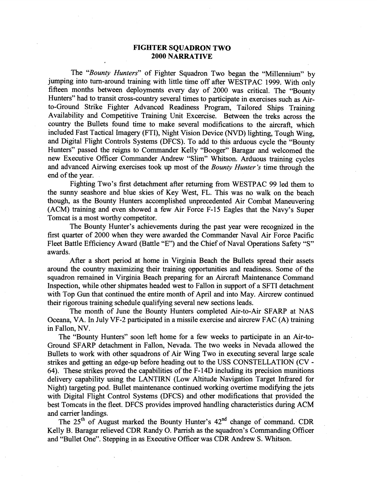### **FIGHTER SQUADRON TWO 2000 NARRATIVE**

The "Bounty Hunters" of Fighter Squadron Two began the "Millennium" by jumping into turn-around training with little time off after WESTPAC 1999. With only fifteen months between deployments every day of 2000 was critical. The "Bounty Hunters" had to transit cross-country several times to participate in exercises such as Airto-Ground Strike Fighter Advanced Readiness Program, Tailored Ships Training Availability and Competitive Training Unit Excercise. Between the treks across the country the Bullets found time to make several modifications to the aircraft, which included Fast Tactical Imagery (FTI), Night Vision Device (NVD) lighting, Tough Wing, and Digital Flight Controls Systems (DFCS). To add to this arduous cycle the "Bounty Hunters" passed the reigns to Commander Kelly "Booger" Baragar and welcomed the new Executive Officer Commander Andrew "Slim" Whitson. Arduous training cycles and advanced Airwing exercises took up most of the Bounty Hunter's time through the end of the year.

Fighting Two's first detachment after returning from WESTPAC 99 led them to the sunny seashore and blue skies of Key West, FL. This was no walk on the beach though, as the Bounty Hunters accomplished unprecedented Air Combat Maneuvering (ACM) training and even showed a few Air Force F-15 Eagles that the Navy's Super Tomcat is a most worthy competitor.

The Bounty Hunter's achievements during the past year were recognized in the first quarter of 2000 when they were awarded the Commander Naval Air Force Pacific Fleet Battle Efficiency Award (Battle **"E")** and the Chief of Naval Operations Safety "S" awards.

After a short period at home in Virginia Beach the Bullets spread their assets around the country maximizing their training opportunities and readiness. Some of the squadron remained in Virginia Beach preparing for an Aircraft Maintenance Command Inspection, while other shipmates headed west to Fallon in support of a SFTI detachment with Top Gun that continued the entire month of April and into May. Aircrew continued .their rigorous training schedule qualifying several new sections leads.

The month of June the Bounty Hunters completed Air-to-Air SFARP at NAS Oceana, VA. In July VF-2 participated in a missile exercise and aircrew FAC (A) training in Fallon, NV.

The "Bounty Hunters" soon left home for a few weeks to participate in an Air-to-Ground SFARP detachment in Fallon, Nevada. The two weeks in Nevada allowed the Bullets to work with other squadrons of Air Wing Two in executing several large scale strikes and getting an edge-up before heading out to the USS CONSTELLATION (CV - 64). These strikes proved the capabilities of the F-14D including its precision munitions delivery capability using the LANTIRN (Low Altitude Navigation Target Infrared for Night) targeting pod. Bullet maintenance continued working overtime modifying the jets with Digital Flight Control Systems (DFCS) and other modifications that provided the best Tomcats in the fleet. DFCS provides improved handling characteristics during ACM and carrier landings.

The  $25<sup>th</sup>$  of August marked the Bounty Hunter's  $42<sup>nd</sup>$  change of command. CDR Kelly B. Baragar relieved CDR Randy 0. Parrish as the squadron's Commanding Officer and "Bullet One". Stepping in as Executive Officer was CDR Andrew S. Whitson.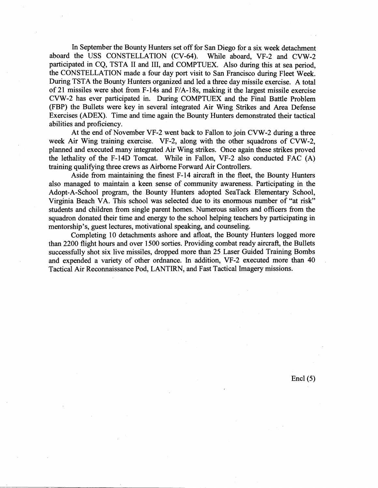In September the Bounty Hunters set off for San Diego for a six week detachment aboard the USS CONSTELLATION (CV-64). While aboard, VF-2 and CVW-2 participated in CQ, TSTA I1 and 111, and COMPTUEX. Also during this at sea period, the CONSTELLATION made a four day port visit to San Francisco during Fleet Week. During TSTA the Bounty Hunters organized and led a three day missile exercise. A total of 21 missiles were shot from F-14s and F/A-18s, making it the largest missile exercise CVW-2 has ever participated in. During COMPTUEX and the Final Battle Problem (FBP) the Bullets were key in several integrated Air Wing Strikes and Area Defense Exercises (ADEX). Time and time again the Bounty Hunters demonstrated their tactical abilities and proficiency.

At the end of November VF-2 went back to Fallon to join CVW-2 during a three week Air Wing training exercise. VF-2, along with the other squadrons of CVW-2, planned and executed many integrated Air Wing strikes. Once again these strikes proved the lethality of the F-14D Tomcat. While in Fallon, VF-2 also conducted FAC (A) training qualifying three crews as Airborne Forward Air Controllers.

Aside from maintaining the finest F-14 aircraft in the fleet, the Bounty Hunters also managed to maintain a keen sense of community awareness. Participating in the Adopt-A-School program, the Bounty Hunters adopted SeaTack Elementary School, Virginia Beach VA, This school was selected due to its enormous number of "at risk" students and children from single parent homes. Numerous sailors and officers from the squadron donated their time and energy to the school helping teachers by participating in mentorship's, guest lectures, motivational speaking, and counseling.

Completing 10 detachments ashore and afloat, the Bounty Hunters logged more than 2200 flight hours and over 1500 sorties. Providing combat ready aircraft, the Bullets successfully shot six live missiles, dropped more than 25 Laser Guided Training Bombs and expended a variety of other ordnance. In addition, VF-2 executed more than 40 Tactical Air Reconnaissance Pod, LANTIRN, and Fast Tactical Imagery missions.

Encl  $(5)$